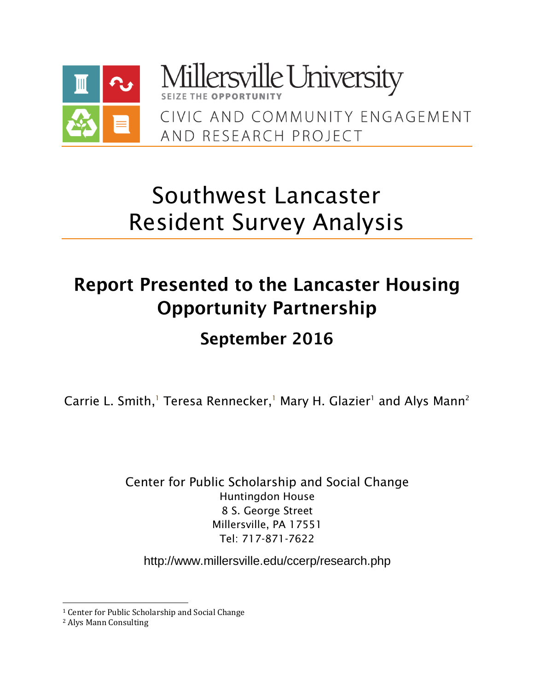

Millersville University CIVIC AND COMMUNITY FNGAGEMENT AND RESEARCH PROJECT

# Southwest Lancaster Resident Survey Analysis

# **Report Presented to the Lancaster Housing Opportunity Partnership**

# September 2016

Carrie L. Smith,<sup>1</sup> Teresa Rennecker,<sup>1</sup> Mary H. Glazier<sup>1</sup> and Alys Mann<sup>2</sup>

Center for Public Scholarship and Social Change Huntingdon House 8 S. George Street Millersville, PA 17551 Tel: 717-871-7622

<http://www.millersville.edu/ccerp/research.php>

 $\overline{\phantom{0}}$ 

<sup>&</sup>lt;sup>1</sup> Center for Public Scholarship and Social Change

<sup>2</sup> Alys Mann Consulting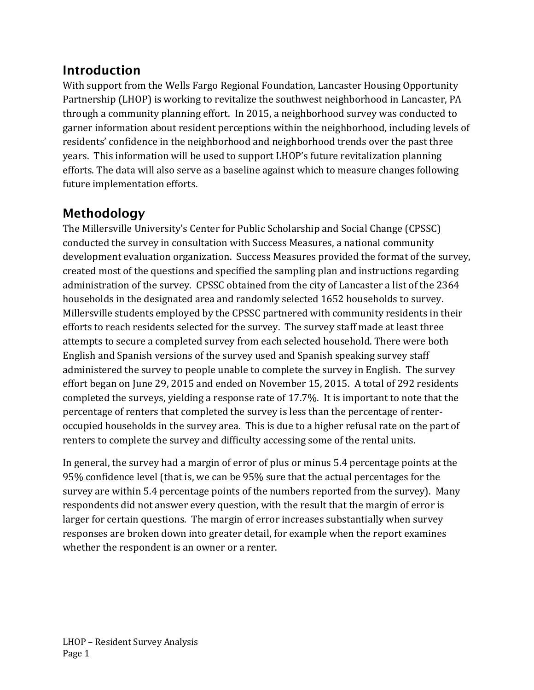# **Introduction**

With support from the Wells Fargo Regional Foundation, Lancaster Housing Opportunity Partnership (LHOP) is working to revitalize the southwest neighborhood in Lancaster, PA through a community planning effort. In 2015, a neighborhood survey was conducted to garner information about resident perceptions within the neighborhood, including levels of residents' confidence in the neighborhood and neighborhood trends over the past three years. This information will be used to support LHOP's future revitalization planning efforts. The data will also serve as a baseline against which to measure changes following future implementation efforts.

# Methodology

The Millersville University's Center for Public Scholarship and Social Change (CPSSC) conducted the survey in consultation with Success Measures, a national community development evaluation organization. Success Measures provided the format of the survey, created most of the questions and specified the sampling plan and instructions regarding administration of the survey. CPSSC obtained from the city of Lancaster a list of the 2364 households in the designated area and randomly selected 1652 households to survey. Millersville students employed by the CPSSC partnered with community residents in their efforts to reach residents selected for the survey. The survey staff made at least three attempts to secure a completed survey from each selected household. There were both English and Spanish versions of the survey used and Spanish speaking survey staff administered the survey to people unable to complete the survey in English. The survey effort began on June 29, 2015 and ended on November 15, 2015. A total of 292 residents completed the surveys, yielding a response rate of 17.7%. It is important to note that the percentage of renters that completed the survey is less than the percentage of renteroccupied households in the survey area. This is due to a higher refusal rate on the part of renters to complete the survey and difficulty accessing some of the rental units.

In general, the survey had a margin of error of plus or minus 5.4 percentage points at the 95% confidence level (that is, we can be 95% sure that the actual percentages for the survey are within 5.4 percentage points of the numbers reported from the survey). Many respondents did not answer every question, with the result that the margin of error is larger for certain questions. The margin of error increases substantially when survey responses are broken down into greater detail, for example when the report examines whether the respondent is an owner or a renter.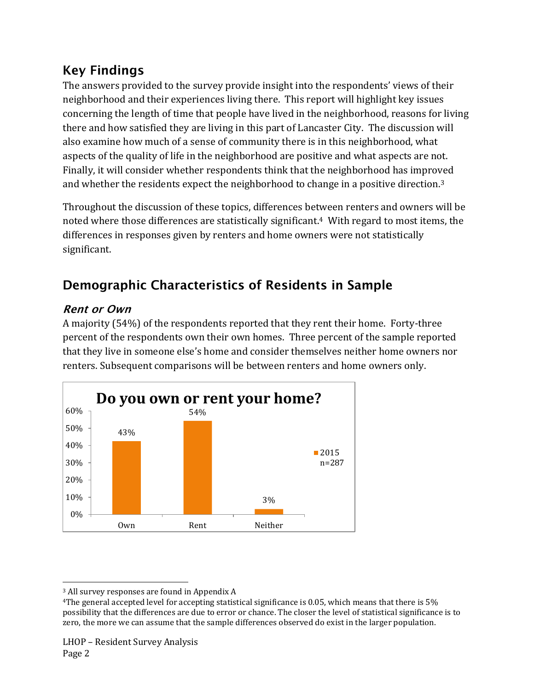# **Key Findings**

The answers provided to the survey provide insight into the respondents' views of their neighborhood and their experiences living there. This report will highlight key issues concerning the length of time that people have lived in the neighborhood, reasons for living there and how satisfied they are living in this part of Lancaster City. The discussion will also examine how much of a sense of community there is in this neighborhood, what aspects of the quality of life in the neighborhood are positive and what aspects are not. Finally, it will consider whether respondents think that the neighborhood has improved and whether the residents expect the neighborhood to change in a positive direction.<sup>3</sup>

Throughout the discussion of these topics, differences between renters and owners will be noted where those differences are statistically significant. <sup>4</sup> With regard to most items, the differences in responses given by renters and home owners were not statistically significant.

# **Demographic Characteristics of Residents in Sample**

# **Rent or Own**

A majority (54%) of the respondents reported that they rent their home. Forty-three percent of the respondents own their own homes. Three percent of the sample reported that they live in someone else's home and consider themselves neither home owners nor renters. Subsequent comparisons will be between renters and home owners only.



l <sup>3</sup> All survey responses are found in Appendix A

<sup>4</sup>The general accepted level for accepting statistical significance is 0.05, which means that there is 5% possibility that the differences are due to error or chance. The closer the level of statistical significance is to zero, the more we can assume that the sample differences observed do exist in the larger population.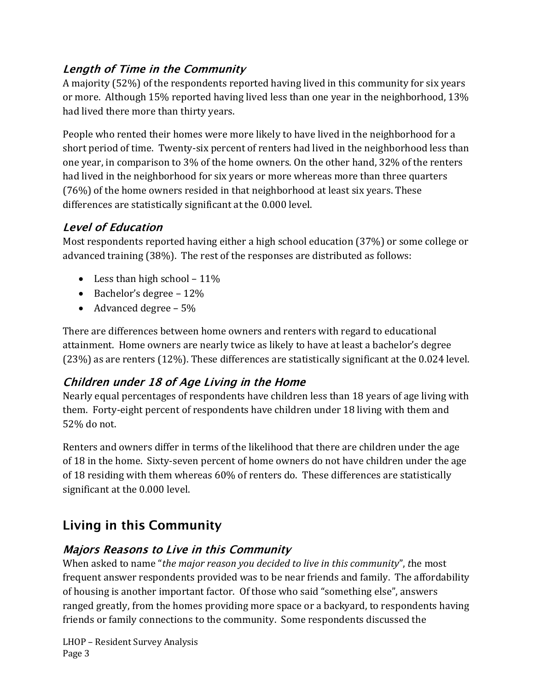# **Length of Time in the Community**

A majority (52%) of the respondents reported having lived in this community for six years or more. Although 15% reported having lived less than one year in the neighborhood, 13% had lived there more than thirty years.

People who rented their homes were more likely to have lived in the neighborhood for a short period of time. Twenty-six percent of renters had lived in the neighborhood less than one year, in comparison to 3% of the home owners. On the other hand, 32% of the renters had lived in the neighborhood for six years or more whereas more than three quarters (76%) of the home owners resided in that neighborhood at least six years. These differences are statistically significant at the 0.000 level.

# **Level of Education**

Most respondents reported having either a high school education (37%) or some college or advanced training (38%). The rest of the responses are distributed as follows:

- Less than high school  $-11\%$
- Bachelor's degree  $-12\%$
- Advanced degree 5%

There are differences between home owners and renters with regard to educational attainment. Home owners are nearly twice as likely to have at least a bachelor's degree (23%) as are renters (12%). These differences are statistically significant at the 0.024 level.

# Children under 18 of Age Living in the Home

Nearly equal percentages of respondents have children less than 18 years of age living with them. Forty-eight percent of respondents have children under 18 living with them and 52% do not.

Renters and owners differ in terms of the likelihood that there are children under the age of 18 in the home. Sixty-seven percent of home owners do not have children under the age of 18 residing with them whereas 60% of renters do. These differences are statistically significant at the 0.000 level.

# **Living in this Community**

# **Majors Reasons to Live in this Community**

When asked to name "*the major reason you decided to live in this community*", *t*he most frequent answer respondents provided was to be near friends and family. The affordability of housing is another important factor. Of those who said "something else", answers ranged greatly, from the homes providing more space or a backyard, to respondents having friends or family connections to the community. Some respondents discussed the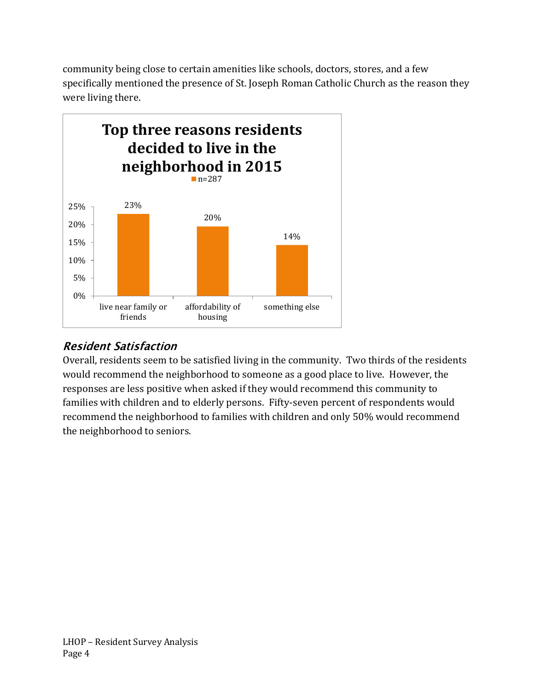community being close to certain amenities like schools, doctors, stores, and a few specifically mentioned the presence of St. Joseph Roman Catholic Church as the reason they were living there.



# **Resident Satisfaction**

Overall, residents seem to be satisfied living in the community. Two thirds of the residents would recommend the neighborhood to someone as a good place to live. However, the responses are less positive when asked if they would recommend this community to families with children and to elderly persons. Fifty-seven percent of respondents would recommend the neighborhood to families with children and only 50% would recommend the neighborhood to seniors.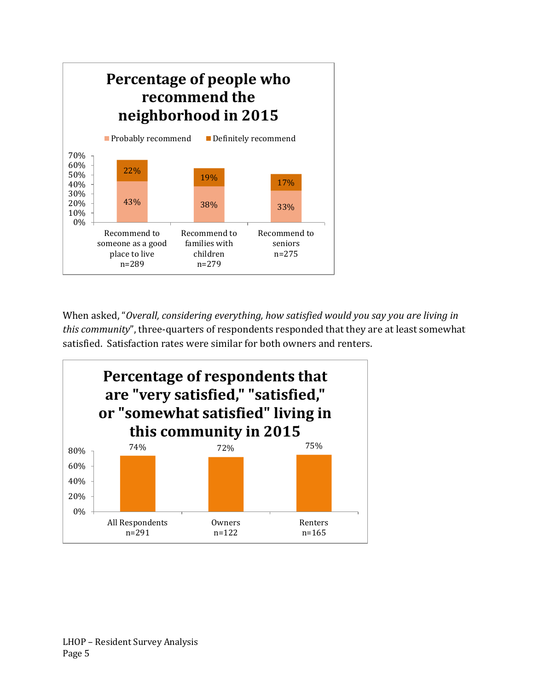

When asked, "*Overall, considering everything, how satisfied would you say you are living in this community*", three-quarters of respondents responded that they are at least somewhat satisfied. Satisfaction rates were similar for both owners and renters.

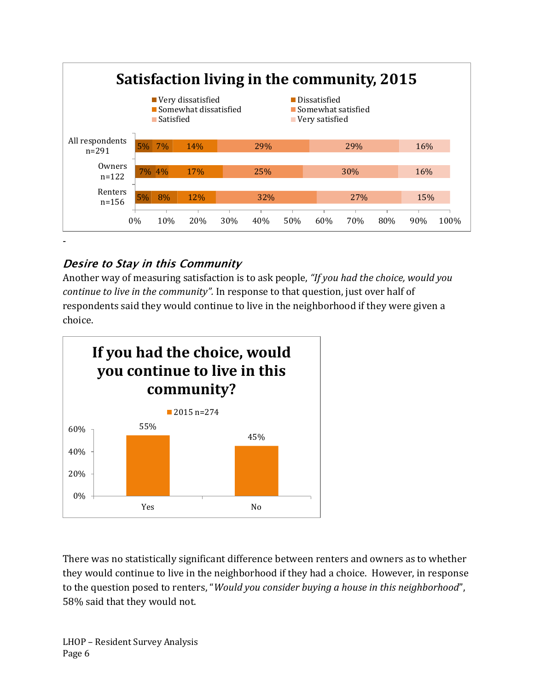

# Desire to Stay in this Community

Another way of measuring satisfaction is to ask people, *"If you had the choice, would you continue to live in the community".* In response to that question, just over half of respondents said they would continue to live in the neighborhood if they were given a choice.



There was no statistically significant difference between renters and owners as to whether they would continue to live in the neighborhood if they had a choice. However, in response to the question posed to renters, "*Would you consider buying a house in this neighborhood*", 58% said that they would not.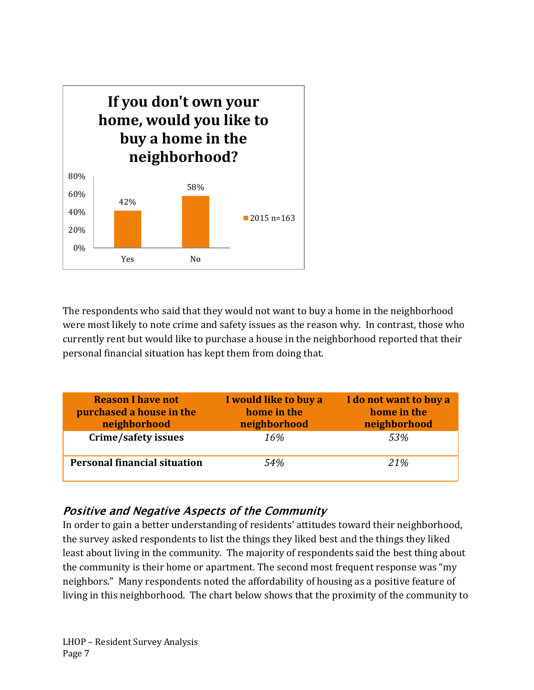

The respondents who said that they would not want to buy a home in the neighborhood were most likely to note crime and safety issues as the reason why. In contrast, those who currently rent but would like to purchase a house in the neighborhood reported that their personal financial situation has kept them from doing that.

| <b>Reason I have not</b><br>purchased a house in the<br>neighborhood | I would like to buy a<br>home in the<br>neighborhood | I do not want to buy a<br>home in the<br>neighborhood |
|----------------------------------------------------------------------|------------------------------------------------------|-------------------------------------------------------|
| Crime/safety issues                                                  | 16%                                                  | 53%                                                   |
| <b>Personal financial situation</b>                                  | 54%                                                  | 21%                                                   |

### **Positive and Negative Aspects of the Community**

In order to gain a better understanding of residents' attitudes toward their neighborhood, the survey asked respondents to list the things they liked best and the things they liked least about living in the community. The majority of respondents said the best thing about the community is their home or apartment. The second most frequent response was "my neighbors." Many respondents noted the affordability of housing as a positive feature of living in this neighborhood. The chart below shows that the proximity of the community to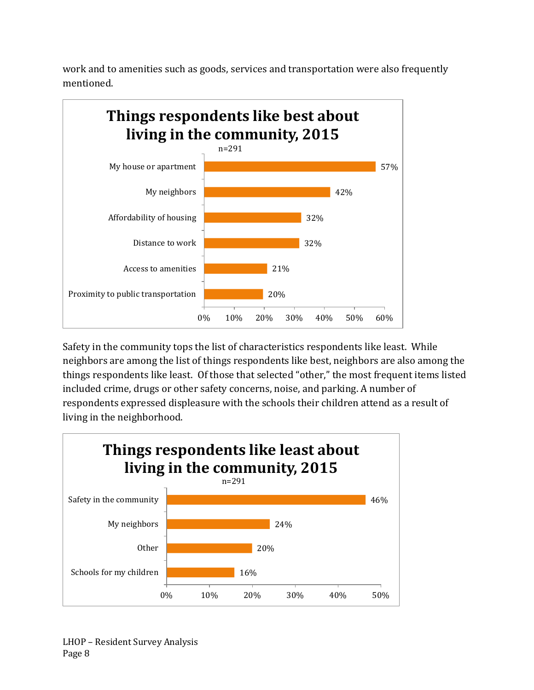work and to amenities such as goods, services and transportation were also frequently mentioned.



Safety in the community tops the list of characteristics respondents like least. While neighbors are among the list of things respondents like best, neighbors are also among the things respondents like least. Of those that selected "other," the most frequent items listed included crime, drugs or other safety concerns, noise, and parking. A number of respondents expressed displeasure with the schools their children attend as a result of living in the neighborhood.

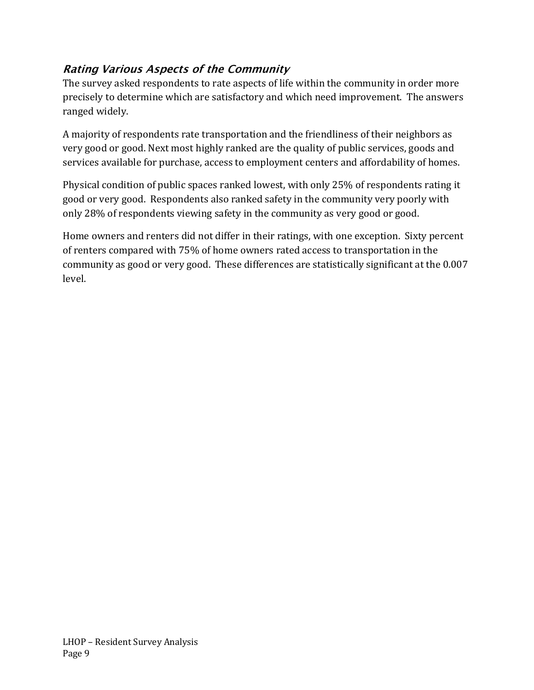# **Rating Various Aspects of the Community**

The survey asked respondents to rate aspects of life within the community in order more precisely to determine which are satisfactory and which need improvement. The answers ranged widely.

A majority of respondents rate transportation and the friendliness of their neighbors as very good or good. Next most highly ranked are the quality of public services, goods and services available for purchase, access to employment centers and affordability of homes.

Physical condition of public spaces ranked lowest, with only 25% of respondents rating it good or very good. Respondents also ranked safety in the community very poorly with only 28% of respondents viewing safety in the community as very good or good.

Home owners and renters did not differ in their ratings, with one exception. Sixty percent of renters compared with 75% of home owners rated access to transportation in the community as good or very good. These differences are statistically significant at the 0.007 level.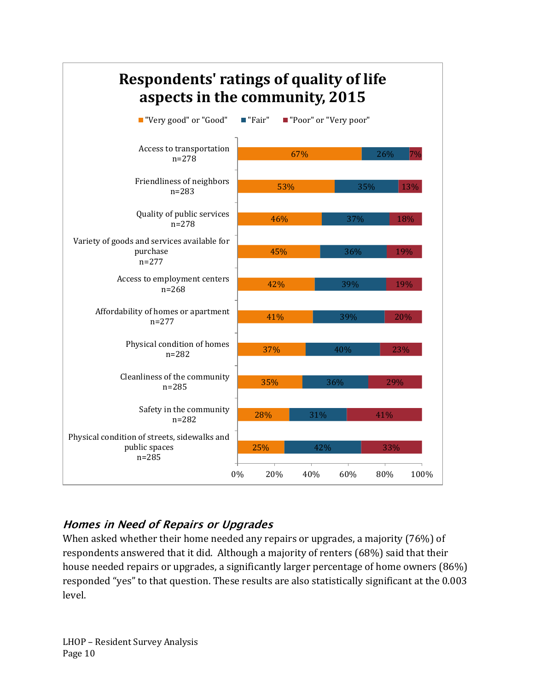

# **Homes in Need of Repairs or Upgrades**

When asked whether their home needed any repairs or upgrades, a majority (76%) of respondents answered that it did. Although a majority of renters (68%) said that their house needed repairs or upgrades, a significantly larger percentage of home owners (86%) responded "yes" to that question. These results are also statistically significant at the 0.003 level.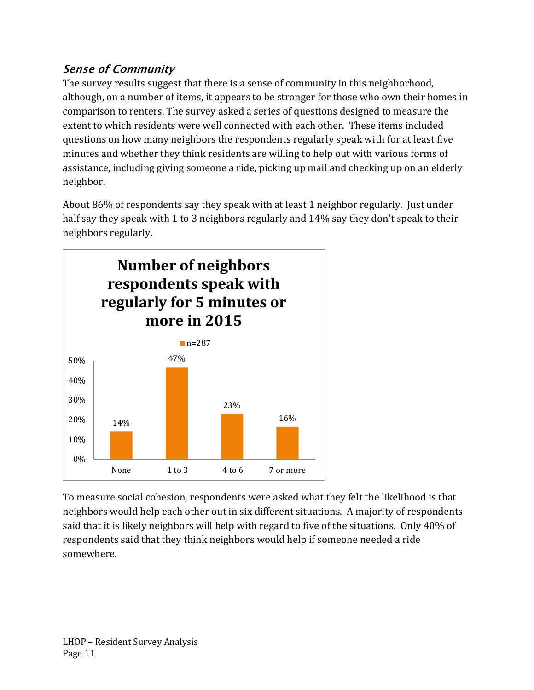# **Sense of Community**

The survey results suggest that there is a sense of community in this neighborhood, although, on a number of items, it appears to be stronger for those who own their homes in comparison to renters. The survey asked a series of questions designed to measure the extent to which residents were well connected with each other. These items included questions on how many neighbors the respondents regularly speak with for at least five minutes and whether they think residents are willing to help out with various forms of assistance, including giving someone a ride, picking up mail and checking up on an elderly neighbor.

About 86% of respondents say they speak with at least 1 neighbor regularly. Just under half say they speak with 1 to 3 neighbors regularly and 14% say they don't speak to their neighbors regularly.



To measure social cohesion, respondents were asked what they felt the likelihood is that neighbors would help each other out in six different situations. A majority of respondents said that it is likely neighbors will help with regard to five of the situations. Only 40% of respondents said that they think neighbors would help if someone needed a ride somewhere.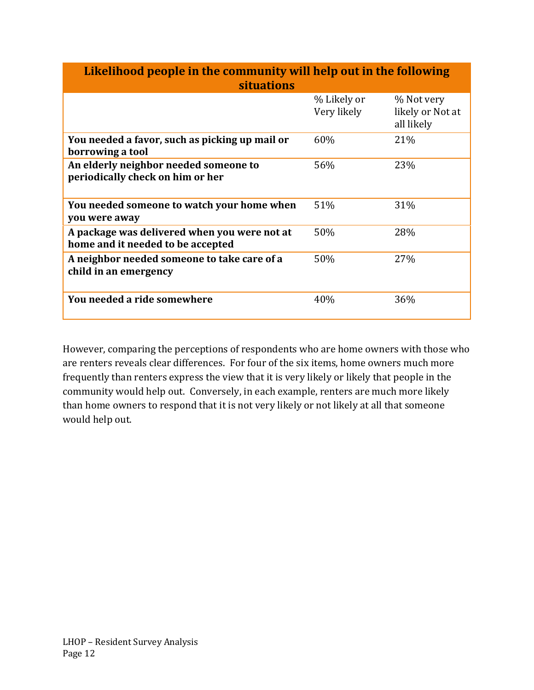| Likelihood people in the community will help out in the following                 |                            |                                              |  |  |  |
|-----------------------------------------------------------------------------------|----------------------------|----------------------------------------------|--|--|--|
| <b>situations</b>                                                                 |                            |                                              |  |  |  |
|                                                                                   | % Likely or<br>Very likely | % Not very<br>likely or Not at<br>all likely |  |  |  |
| You needed a favor, such as picking up mail or<br>borrowing a tool                | 60%                        | 21%                                          |  |  |  |
| An elderly neighbor needed someone to<br>periodically check on him or her         | 56%                        | 23%                                          |  |  |  |
| You needed someone to watch your home when<br>you were away                       | 51%                        | 31%                                          |  |  |  |
| A package was delivered when you were not at<br>home and it needed to be accepted | 50%                        | 28%                                          |  |  |  |
| A neighbor needed someone to take care of a<br>child in an emergency              | 50%                        | 27%                                          |  |  |  |
| You needed a ride somewhere                                                       | 40%                        | 36%                                          |  |  |  |

However, comparing the perceptions of respondents who are home owners with those who are renters reveals clear differences. For four of the six items, home owners much more frequently than renters express the view that it is very likely or likely that people in the community would help out. Conversely, in each example, renters are much more likely than home owners to respond that it is not very likely or not likely at all that someone would help out.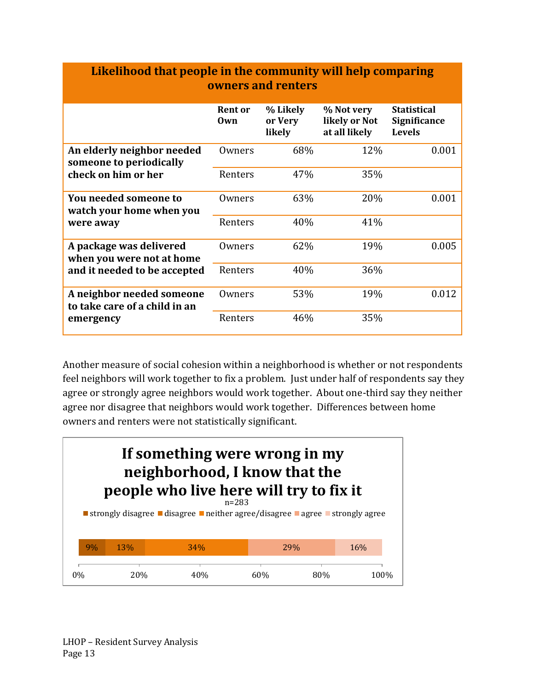| еписнном или ребрю не ию соннимно, они нер сонрагных<br>owners and renters |                       |                               |                                              |                                                     |  |  |  |  |
|----------------------------------------------------------------------------|-----------------------|-------------------------------|----------------------------------------------|-----------------------------------------------------|--|--|--|--|
|                                                                            | <b>Rent or</b><br>Own | % Likely<br>or Very<br>likely | % Not very<br>likely or Not<br>at all likely | <b>Statistical</b><br>Significance<br><b>Levels</b> |  |  |  |  |
| An elderly neighbor needed<br>someone to periodically                      | Owners                | 68%                           | 12%                                          | 0.001                                               |  |  |  |  |
| check on him or her                                                        | Renters               | 47%                           | 35%                                          |                                                     |  |  |  |  |
| You needed someone to<br>watch your home when you                          | Owners                | 63%                           | 20%                                          | 0.001                                               |  |  |  |  |
| were away                                                                  | Renters               | 40%                           | 41%                                          |                                                     |  |  |  |  |
| A package was delivered<br>when you were not at home                       | Owners                | 62%                           | 19%                                          | 0.005                                               |  |  |  |  |
| and it needed to be accepted                                               | Renters               | 40%                           | 36%                                          |                                                     |  |  |  |  |
| A neighbor needed someone<br>to take care of a child in an                 | Owners                | 53%                           | 19%                                          | 0.012                                               |  |  |  |  |
| emergency                                                                  | Renters               | 46%                           | 35%                                          |                                                     |  |  |  |  |

**Likelihood that people in the community will help comparing** 

Another measure of social cohesion within a neighborhood is whether or not respondents feel neighbors will work together to fix a problem. Just under half of respondents say they agree or strongly agree neighbors would work together. About one-third say they neither agree nor disagree that neighbors would work together. Differences between home owners and renters were not statistically significant.

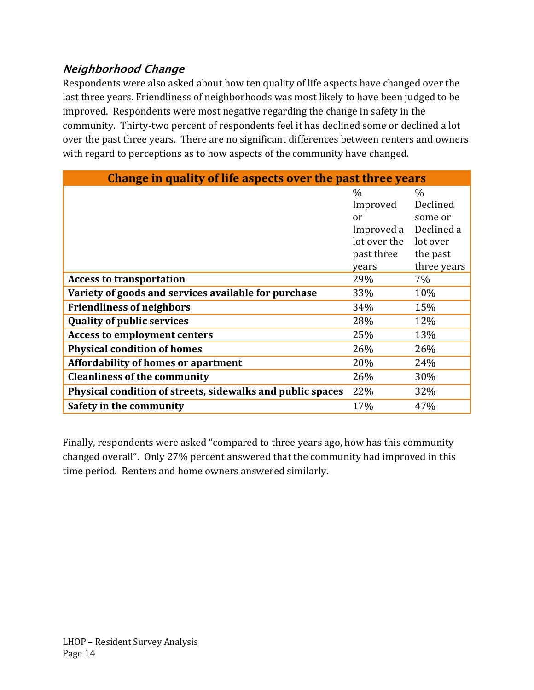# **Neighborhood Change**

Respondents were also asked about how ten quality of life aspects have changed over the last three years. Friendliness of neighborhoods was most likely to have been judged to be improved. Respondents were most negative regarding the change in safety in the community. Thirty-two percent of respondents feel it has declined some or declined a lot over the past three years. There are no significant differences between renters and owners with regard to perceptions as to how aspects of the community have changed.

| Change in quality of life aspects over the past three years |              |             |  |  |  |
|-------------------------------------------------------------|--------------|-------------|--|--|--|
|                                                             | $\%$         | $\%$        |  |  |  |
|                                                             | Improved     | Declined    |  |  |  |
|                                                             | or           | some or     |  |  |  |
|                                                             | Improved a   | Declined a  |  |  |  |
|                                                             | lot over the | lot over    |  |  |  |
|                                                             | past three   | the past    |  |  |  |
|                                                             | years        | three years |  |  |  |
| <b>Access to transportation</b>                             | 29%          | 7%          |  |  |  |
| Variety of goods and services available for purchase        | 33%          | 10%         |  |  |  |
| <b>Friendliness of neighbors</b>                            | 34%          | 15%         |  |  |  |
| <b>Quality of public services</b>                           | 28%          | 12%         |  |  |  |
| <b>Access to employment centers</b>                         | 25%          | 13%         |  |  |  |
| <b>Physical condition of homes</b>                          | 26%          | 26%         |  |  |  |
| <b>Affordability of homes or apartment</b>                  | 20%          | 24%         |  |  |  |
| <b>Cleanliness of the community</b>                         | 26%          | 30%         |  |  |  |
| Physical condition of streets, sidewalks and public spaces  | 22%          | 32%         |  |  |  |
| Safety in the community                                     | 17%          | 47%         |  |  |  |

Finally, respondents were asked "compared to three years ago, how has this community changed overall". Only 27% percent answered that the community had improved in this time period. Renters and home owners answered similarly.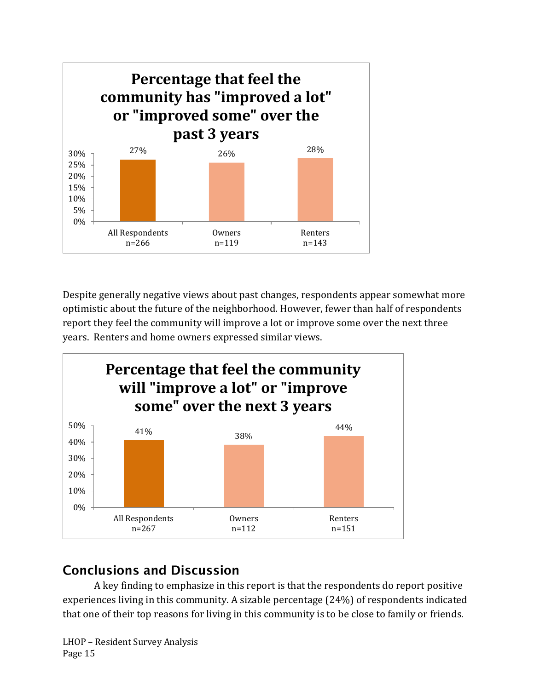

Despite generally negative views about past changes, respondents appear somewhat more optimistic about the future of the neighborhood. However, fewer than half of respondents report they feel the community will improve a lot or improve some over the next three years. Renters and home owners expressed similar views.



# **Conclusions and Discussion**

A key finding to emphasize in this report is that the respondents do report positive experiences living in this community. A sizable percentage (24%) of respondents indicated that one of their top reasons for living in this community is to be close to family or friends.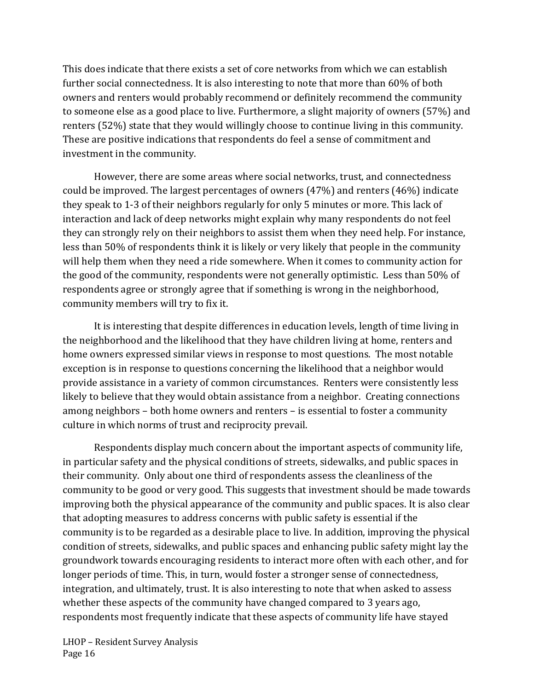This does indicate that there exists a set of core networks from which we can establish further social connectedness. It is also interesting to note that more than 60% of both owners and renters would probably recommend or definitely recommend the community to someone else as a good place to live. Furthermore, a slight majority of owners (57%) and renters (52%) state that they would willingly choose to continue living in this community. These are positive indications that respondents do feel a sense of commitment and investment in the community.

However, there are some areas where social networks, trust, and connectedness could be improved. The largest percentages of owners (47%) and renters (46%) indicate they speak to 1-3 of their neighbors regularly for only 5 minutes or more. This lack of interaction and lack of deep networks might explain why many respondents do not feel they can strongly rely on their neighbors to assist them when they need help. For instance, less than 50% of respondents think it is likely or very likely that people in the community will help them when they need a ride somewhere. When it comes to community action for the good of the community, respondents were not generally optimistic. Less than 50% of respondents agree or strongly agree that if something is wrong in the neighborhood, community members will try to fix it.

It is interesting that despite differences in education levels, length of time living in the neighborhood and the likelihood that they have children living at home, renters and home owners expressed similar views in response to most questions. The most notable exception is in response to questions concerning the likelihood that a neighbor would provide assistance in a variety of common circumstances. Renters were consistently less likely to believe that they would obtain assistance from a neighbor. Creating connections among neighbors – both home owners and renters – is essential to foster a community culture in which norms of trust and reciprocity prevail.

Respondents display much concern about the important aspects of community life, in particular safety and the physical conditions of streets, sidewalks, and public spaces in their community. Only about one third of respondents assess the cleanliness of the community to be good or very good. This suggests that investment should be made towards improving both the physical appearance of the community and public spaces. It is also clear that adopting measures to address concerns with public safety is essential if the community is to be regarded as a desirable place to live. In addition, improving the physical condition of streets, sidewalks, and public spaces and enhancing public safety might lay the groundwork towards encouraging residents to interact more often with each other, and for longer periods of time. This, in turn, would foster a stronger sense of connectedness, integration, and ultimately, trust. It is also interesting to note that when asked to assess whether these aspects of the community have changed compared to 3 years ago, respondents most frequently indicate that these aspects of community life have stayed

LHOP – Resident Survey Analysis Page 16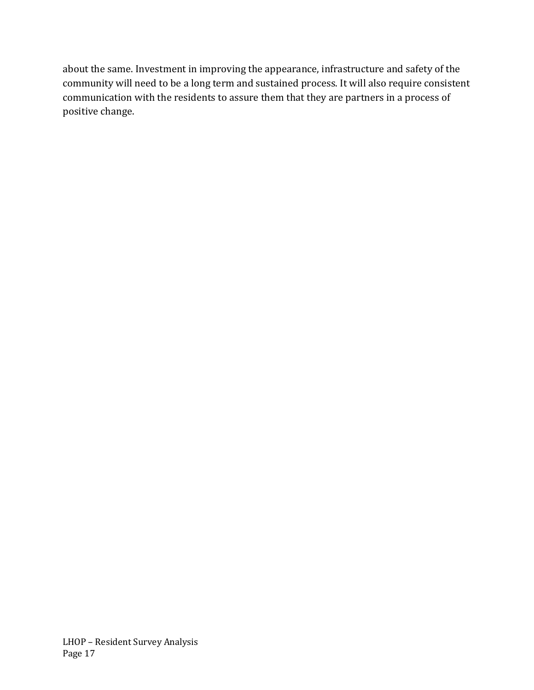about the same. Investment in improving the appearance, infrastructure and safety of the community will need to be a long term and sustained process. It will also require consistent communication with the residents to assure them that they are partners in a process of positive change.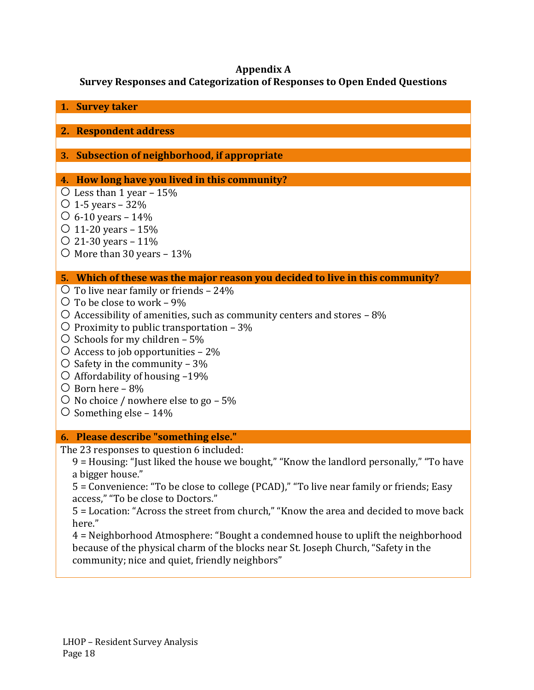### **Appendix A**

### **Survey Responses and Categorization of Responses to Open Ended Questions**

| 1. Survey taker                                                                                                                      |
|--------------------------------------------------------------------------------------------------------------------------------------|
| 2. Respondent address                                                                                                                |
|                                                                                                                                      |
| 3. Subsection of neighborhood, if appropriate                                                                                        |
|                                                                                                                                      |
| 4. How long have you lived in this community?                                                                                        |
| $\circ$ Less than 1 year – 15%                                                                                                       |
| $\circ$ 1-5 years – 32%<br>$\circ$ 6-10 years – 14%                                                                                  |
| $\circ$ 11-20 years – 15%                                                                                                            |
| $\circ$ 21-30 years – 11%                                                                                                            |
| $\circ$ More than 30 years – 13%                                                                                                     |
|                                                                                                                                      |
| 5. Which of these was the major reason you decided to live in this community?                                                        |
| $\circ$ To live near family or friends - 24%<br>$\circ$ To be close to work – 9%                                                     |
| $\circ$ Accessibility of amenities, such as community centers and stores - 8%                                                        |
| $\circ$ Proximity to public transportation – 3%                                                                                      |
| $\circ$ Schools for my children – 5%                                                                                                 |
| $\circ$ Access to job opportunities – 2%                                                                                             |
| $\circ$ Safety in the community – 3%                                                                                                 |
| $\circ$ Affordability of housing -19%                                                                                                |
| $\circ$ Born here – 8%<br>$\circ$ No choice / nowhere else to go – 5%                                                                |
| $\circ$ Something else – 14%                                                                                                         |
|                                                                                                                                      |
| 6. Please describe "something else."                                                                                                 |
| The 23 responses to question 6 included:                                                                                             |
| 9 = Housing: "Just liked the house we bought," "Know the landlord personally," "To have                                              |
| a bigger house."<br>5 = Convenience: "To be close to college (PCAD)," "To live near family or friends; Easy                          |
| access," "To be close to Doctors."                                                                                                   |
| 5 = Location: "Across the street from church," "Know the area and decided to move back                                               |
| here."                                                                                                                               |
| 4 = Neighborhood Atmosphere: "Bought a condemned house to uplift the neighborhood                                                    |
| because of the physical charm of the blocks near St. Joseph Church, "Safety in the<br>community; nice and quiet, friendly neighbors" |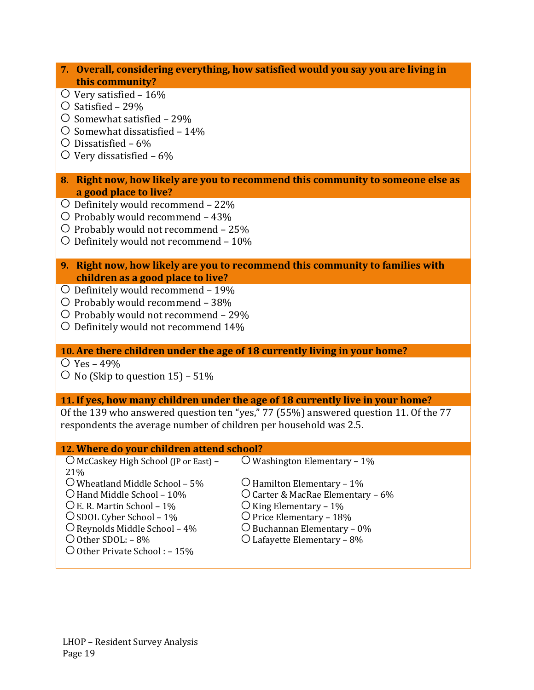#### **7. Overall, considering everything, how satisfied would you say you are living in this community?**

- $\circ$  Very satisfied 16%
- $\circ$  Satisfied 29%
- $\circ$  Somewhat satisfied 29%
- $\circ$  Somewhat dissatisfied 14%
- $\bigcirc$  Dissatisfied 6%
- $\circ$  Very dissatisfied 6%
- **8. Right now, how likely are you to recommend this community to someone else as a good place to live?**
- $\circ$  Definitely would recommend 22%
- $\circ$  Probably would recommend 43%
- $\circ$  Probably would not recommend 25%
- $\circ$  Definitely would not recommend 10%
- **9. Right now, how likely are you to recommend this community to families with children as a good place to live?**
- $\circ$  Definitely would recommend 19%
- $\circ$  Probably would recommend 38%
- $\circ$  Probably would not recommend 29%
- $\circ$  Definitely would not recommend 14%

#### **10. Are there children under the age of 18 currently living in your home?**

 $\circ$  Yes – 49%

 $\circ$  No (Skip to question 15) – 51%

#### **11. If yes, how many children under the age of 18 currently live in your home?**

Of the 139 who answered question ten "yes," 77 (55%) answered question 11. Of the 77 respondents the average number of children per household was 2.5.

#### **12. Where do your children attend school?**  $\overline{O}$  McCaskey High School (JP or East) – 21%  $\overline{\text{O}}$  Washington Elementary – 1%  $\bigcirc$  Wheatland Middle School – 5%  $\bigcirc$  Hamilton Elementary – 1%  $\bigcirc$  Hand Middle School – 10%  $\bigcirc$  Carter & MacRae Elementary – 6%  $\overline{O}$  E. R. Martin School – 1%  $\overline{O}$  King Elementary – 1%  $\bigcirc$  SDOL Cyber School – 1%  $\bigcirc$  Price Elementary – 18%  $\bigcirc$  Reynolds Middle School – 4%  $\bigcirc$  Buchannan Elementary – 0% Other SDOL: – 8% Lafayette Elementary – 8% Other Private School : – 15%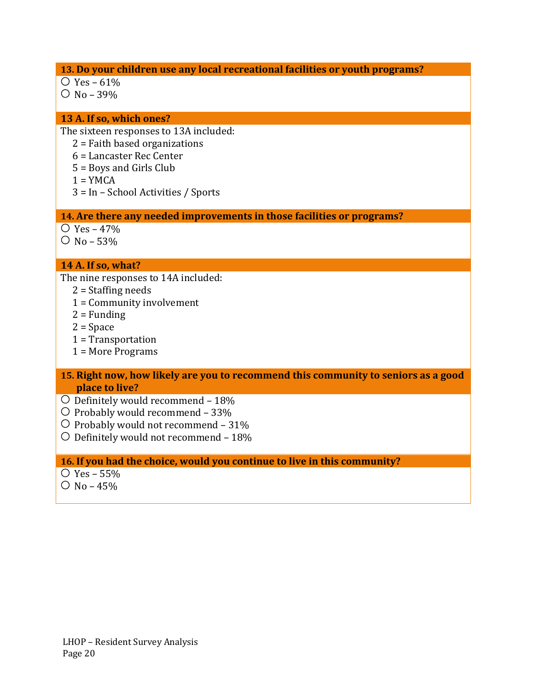#### **13. Do your children use any local recreational facilities or youth programs?**

- $\circ$  Yes 61%
- $O$  No 39%

#### **13 A. If so, which ones?**

The sixteen responses to 13A included:

- 2 = Faith based organizations
- 6 = Lancaster Rec Center
- 5 = Boys and Girls Club
- $1 = YMCA$
- 3 = In School Activities / Sports

**14. Are there any needed improvements in those facilities or programs?**

- $\bigcirc$  Yes 47%
- $O$  No 53%

#### **14 A. If so, what?**

The nine responses to 14A included:

- 2 = Staffing needs
- 1 = Community involvement
- $2$  = Funding
- 2 = Space
- 1 = Transportation
- 1 = More Programs
- **15. Right now, how likely are you to recommend this community to seniors as a good place to live?**
- $\overline{O}$  Definitely would recommend 18%
- $\circ$  Probably would recommend 33%
- $\circ$  Probably would not recommend 31%
- $\circ$  Definitely would not recommend 18%

#### **16. If you had the choice, would you continue to live in this community?**

- $\circ$  Yes 55%
- $O$  No 45%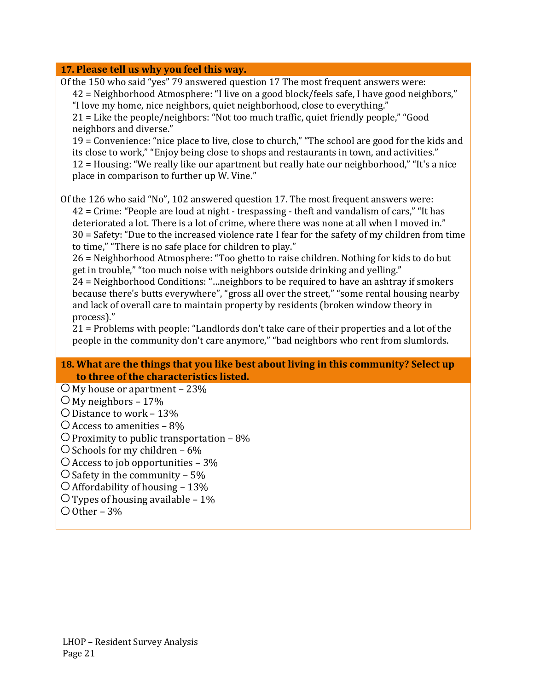#### **17. Please tell us why you feel this way.**

| 17. Please tell us why you feel this way.                                                                                                                                                                                                                                                                                                                                                                                                                                                                                                                                                                                                                                                                                                                                                                                                                                                                                                                                                                                                                                                                       |
|-----------------------------------------------------------------------------------------------------------------------------------------------------------------------------------------------------------------------------------------------------------------------------------------------------------------------------------------------------------------------------------------------------------------------------------------------------------------------------------------------------------------------------------------------------------------------------------------------------------------------------------------------------------------------------------------------------------------------------------------------------------------------------------------------------------------------------------------------------------------------------------------------------------------------------------------------------------------------------------------------------------------------------------------------------------------------------------------------------------------|
| Of the 150 who said "yes" 79 answered question 17 The most frequent answers were:<br>42 = Neighborhood Atmosphere: "I live on a good block/feels safe, I have good neighbors,"<br>"I love my home, nice neighbors, quiet neighborhood, close to everything."<br>21 = Like the people/neighbors: "Not too much traffic, quiet friendly people," "Good<br>neighbors and diverse."<br>19 = Convenience: "nice place to live, close to church," "The school are good for the kids and<br>its close to work," "Enjoy being close to shops and restaurants in town, and activities."<br>12 = Housing: "We really like our apartment but really hate our neighborhood," "It's a nice<br>place in comparison to further up W. Vine."                                                                                                                                                                                                                                                                                                                                                                                    |
| Of the 126 who said "No", 102 answered question 17. The most frequent answers were:<br>42 = Crime: "People are loud at night - trespassing - theft and vandalism of cars," "It has<br>deteriorated a lot. There is a lot of crime, where there was none at all when I moved in."<br>30 = Safety: "Due to the increased violence rate I fear for the safety of my children from time<br>to time," "There is no safe place for children to play."<br>26 = Neighborhood Atmosphere: "Too ghetto to raise children. Nothing for kids to do but<br>get in trouble," "too much noise with neighbors outside drinking and yelling."<br>24 = Neighborhood Conditions: "neighbors to be required to have an ashtray if smokers<br>because there's butts everywhere", "gross all over the street," "some rental housing nearby<br>and lack of overall care to maintain property by residents (broken window theory in<br>process)."<br>21 = Problems with people: "Landlords don't take care of their properties and a lot of the<br>people in the community don't care anymore," "bad neighbors who rent from slumlords. |
| 18. What are the things that you like hest about living in this community? Select un                                                                                                                                                                                                                                                                                                                                                                                                                                                                                                                                                                                                                                                                                                                                                                                                                                                                                                                                                                                                                            |

#### **18. What are the things that you like best about living in this community? Select up to three of the characteristics listed.**

- $\overline{O}$  My house or apartment 23%
- $\overline{\bigcirc}$  My neighbors 17%
- Distance to work 13%
- $\bigcirc$  Access to amenities 8%

### $\bigcirc$  Proximity to public transportation – 8%

- $\bigcirc$  Schools for my children 6%
- $\bigcirc$  Access to job opportunities 3%
- $\overline{\bigcirc}$  Safety in the community 5%
- $\bigcirc$  Affordability of housing 13%
- $\bigcirc$  Types of housing available 1%
- $\bigcirc$  Other 3%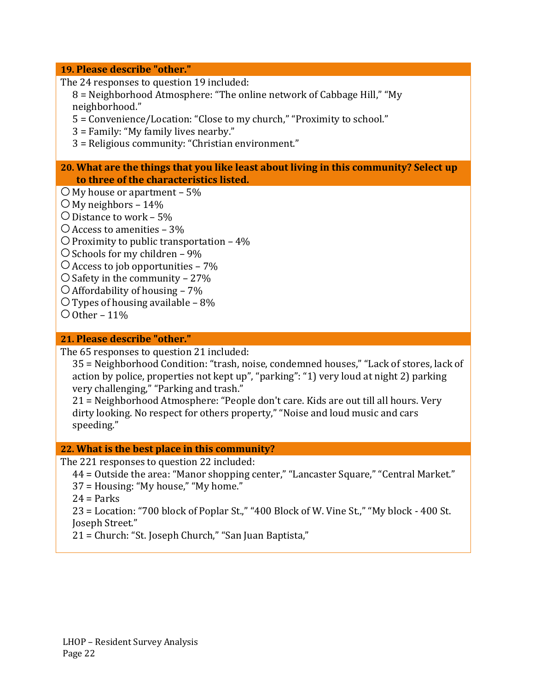#### **19. Please describe "other."**

The 24 responses to question 19 included:

8 = Neighborhood Atmosphere: "The online network of Cabbage Hill," "My neighborhood."

5 = Convenience/Location: "Close to my church," "Proximity to school."

3 = Family: "My family lives nearby."

3 = Religious community: "Christian environment."

#### **20. What are the things that you like least about living in this community? Select up to three of the characteristics listed.**

- $\bigcirc$  My house or apartment 5%
- $\bigcirc$  My neighbors 14%
- $\bigcirc$  Distance to work 5%
- $\bigcirc$  Access to amenities 3%
- $\bigcirc$  Proximity to public transportation 4%
- $\bigcirc$  Schools for my children 9%
- $\bigcirc$  Access to job opportunities 7%
- $\bigcirc$  Safety in the community 27%
- $\bigcirc$  Affordability of housing 7%
- $\overline{O}$  Types of housing available 8%
- $\bigcirc$  Other 11%

#### **21. Please describe "other."**

The 65 responses to question 21 included:

35 = Neighborhood Condition: "trash, noise, condemned houses," "Lack of stores, lack of action by police, properties not kept up", "parking": "1) very loud at night 2) parking very challenging," "Parking and trash."

21 = Neighborhood Atmosphere: "People don't care. Kids are out till all hours. Very dirty looking. No respect for others property," "Noise and loud music and cars speeding."

#### **22. What is the best place in this community?**

The 221 responses to question 22 included:

- 44 = Outside the area: "Manor shopping center," "Lancaster Square," "Central Market."
- 37 = Housing: "My house," "My home."
- $24 =$  Parks

23 = Location: "700 block of Poplar St.," "400 Block of W. Vine St.," "My block - 400 St. Joseph Street."

21 = Church: "St. Joseph Church," "San Juan Baptista,"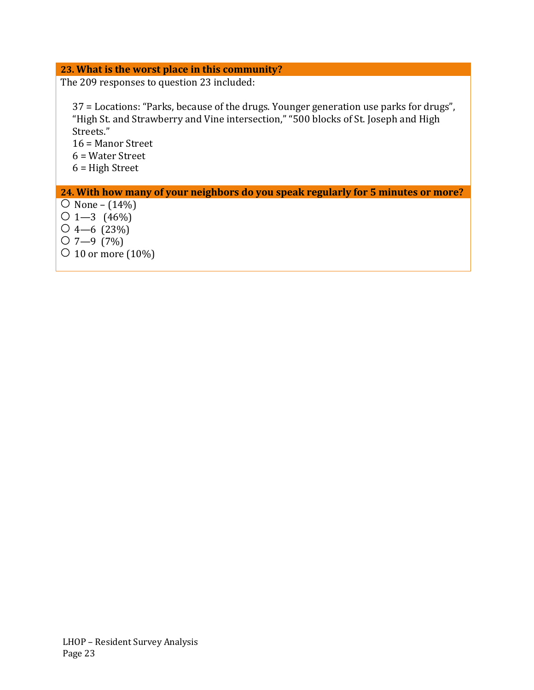#### **23. What is the worst place in this community?**

The 209 responses to question 23 included:

37 = Locations: "Parks, because of the drugs. Younger generation use parks for drugs", "High St. and Strawberry and Vine intersection," "500 blocks of St. Joseph and High Streets."

16 = Manor Street 6 = Water Street 6 = High Street

#### **24. With how many of your neighbors do you speak regularly for 5 minutes or more?**

- $\overline{O}$  None (14%)  $01 - 3 (46\%)$  $\bigcirc$  4—6 (23%)
- $O$  7—9 (7%)
- $\circ$  10 or more (10%)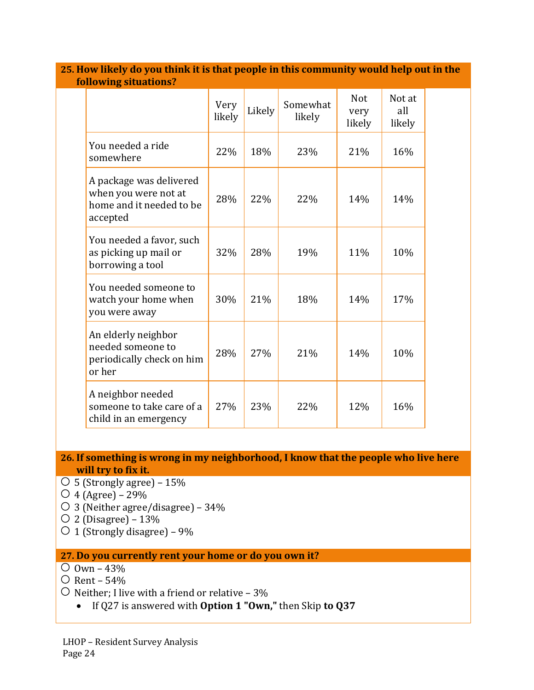| TOHOWING SITUATIONS?                                                                    |                |        |                    |                              |                         |
|-----------------------------------------------------------------------------------------|----------------|--------|--------------------|------------------------------|-------------------------|
|                                                                                         | Very<br>likely | Likely | Somewhat<br>likely | <b>Not</b><br>very<br>likely | Not at<br>all<br>likely |
| You needed a ride<br>somewhere                                                          | 22%            | 18%    | 23%                | 21%                          | 16%                     |
| A package was delivered<br>when you were not at<br>home and it needed to be<br>accepted | 28%            | 22%    | 22%                | 14%                          | 14%                     |
| You needed a favor, such<br>as picking up mail or<br>borrowing a tool                   | 32%            | 28%    | 19%                | 11%                          | 10%                     |
| You needed someone to<br>watch your home when<br>you were away                          | 30%            | 21%    | 18%                | 14%                          | 17%                     |
| An elderly neighbor<br>needed someone to<br>periodically check on him<br>or her         | 28%            | 27%    | 21%                | 14%                          | 10%                     |
| A neighbor needed<br>someone to take care of a<br>child in an emergency                 | 27%            | 23%    | 22%                | 12%                          | 16%                     |

**25. How likely do you think it is that people in this community would help out in the following situations?**

#### **26. If something is wrong in my neighborhood, I know that the people who live here will try to fix it.**

- 5 (Strongly agree) 15%
- $\bigcirc$  4 (Agree) 29%
- 3 (Neither agree/disagree) 34%
- $\overline{O}$  2 (Disagree) 13%
- $\circ$  1 (Strongly disagree) 9%

### **27. Do you currently rent your home or do you own it?**

- $\overline{O}$  Own 43%
- $\circ$  Rent 54%
- $\circ$  Neither; I live with a friend or relative 3%
	- If Q27 is answered with **Option 1 "Own,"** then Skip **to Q37**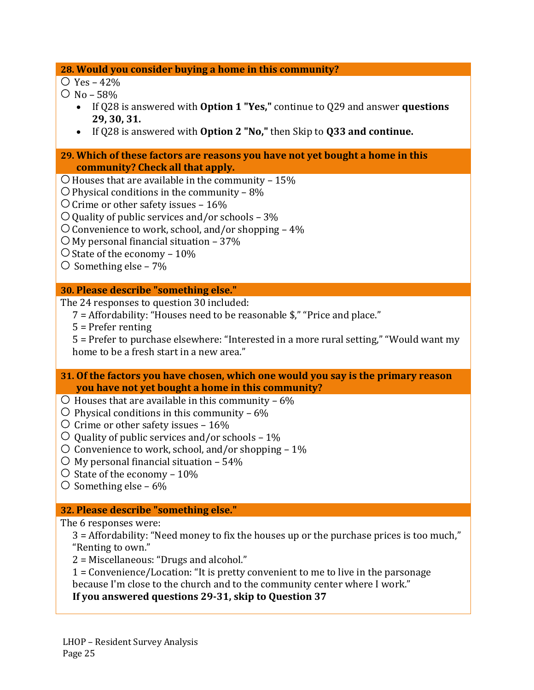**28. Would you consider buying a home in this community?**

 $\bigcirc$  Yes – 42%

 $\bigcirc$  No – 58%

- If Q28 is answered with **Option 1 "Yes,"** continue to Q29 and answer **questions 29, 30, 31.**
- If Q28 is answered with **Option 2 "No,"** then Skip to **Q33 and continue.**
- **29. Which of these factors are reasons you have not yet bought a home in this community? Check all that apply.**
- $\circ$  Houses that are available in the community 15%
- $\bigcirc$  Physical conditions in the community 8%
- $\overline{O}$  Crime or other safety issues 16%
- $\bigcirc$  Quality of public services and/or schools 3%
- $\circ$  Convenience to work, school, and/or shopping 4%
- $\bigcirc$  My personal financial situation 37%
- $\circ$  State of the economy 10%
- $\circ$  Something else 7%

#### **30. Please describe "something else."**

The 24 responses to question 30 included:

- 7 = Affordability: "Houses need to be reasonable \$," "Price and place."
- 5 = Prefer renting

5 = Prefer to purchase elsewhere: "Interested in a more rural setting," "Would want my home to be a fresh start in a new area."

- **31. Of the factors you have chosen, which one would you say is the primary reason you have not yet bought a home in this community?**
- $\circ$  Houses that are available in this community 6%
- $\circ$  Physical conditions in this community 6%
- $\circ$  Crime or other safety issues 16%
- $\circ$  Quality of public services and/or schools 1%
- $\circ$  Convenience to work, school, and/or shopping 1%
- $\circ$  My personal financial situation 54%
- $\circ$  State of the economy 10%
- $\circ$  Something else 6%

#### **32. Please describe "something else."**

The 6 responses were:

3 = Affordability: "Need money to fix the houses up or the purchase prices is too much," "Renting to own."

2 = Miscellaneous: "Drugs and alcohol."

1 = Convenience/Location: "It is pretty convenient to me to live in the parsonage because I'm close to the church and to the community center where I work."

**If you answered questions 29-31, skip to Question 37**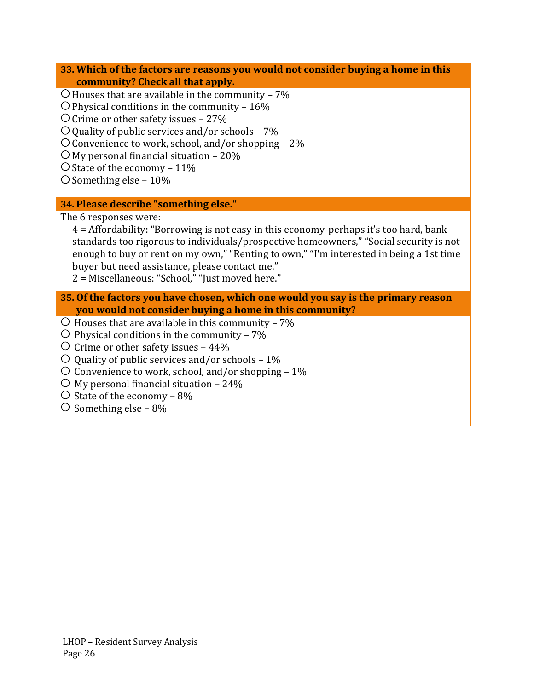- **33. Which of the factors are reasons you would not consider buying a home in this community? Check all that apply.**
- $\bigcirc$  Houses that are available in the community 7%
- $\circ$  Physical conditions in the community 16%
- $\overline{O}$  Crime or other safety issues 27%
- $\bigcirc$  Quality of public services and/or schools 7%
- $\circ$  Convenience to work, school, and/or shopping 2%
- $\bigcirc$  My personal financial situation 20%
- $\bigcirc$  State of the economy 11%
- $\circ$  Something else 10%

#### **34. Please describe "something else."**

The 6 responses were:

- 4 = Affordability: "Borrowing is not easy in this economy-perhaps it's too hard, bank standards too rigorous to individuals/prospective homeowners," "Social security is not enough to buy or rent on my own," "Renting to own," "I'm interested in being a 1st time buyer but need assistance, please contact me."
- 2 = Miscellaneous: "School," "Just moved here."
- **35. Of the factors you have chosen, which one would you say is the primary reason you would not consider buying a home in this community?**
- $\circ$  Houses that are available in this community 7%
- $\circ$  Physical conditions in the community 7%
- $\circ$  Crime or other safety issues 44%
- $\circ$  Quality of public services and/or schools 1%
- $\circ$  Convenience to work, school, and/or shopping 1%
- $\circ$  My personal financial situation 24%
- $\circ$  State of the economy 8%
- $\circ$  Something else 8%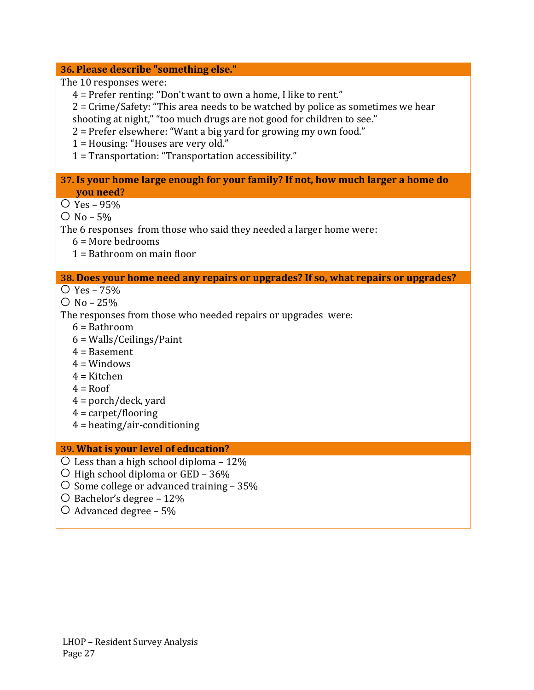#### **36. Please describe "something else."**

The 10 responses were:

- 4 = Prefer renting: "Don't want to own a home, I like to rent."
- 2 = Crime/Safety: "This area needs to be watched by police as sometimes we hear shooting at night," "too much drugs are not good for children to see."
- 2 = Prefer elsewhere: "Want a big yard for growing my own food."
- 1 = Housing: "Houses are very old."
- 1 = Transportation: "Transportation accessibility."

#### **37. Is your home large enough for your family? If not, how much larger a home do you need?**

- $\bigcirc$  Yes 95%
- $O$  No 5%

The 6 responses from those who said they needed a larger home were:

- $6 =$ More bedrooms
- 1 = Bathroom on main floor

#### **38. Does your home need any repairs or upgrades? If so, what repairs or upgrades?**

- $\circ$  Yes 75%
- $O$  No 25%
- The responses from those who needed repairs or upgrades were:
	- 6 = Bathroom
	- 6 = Walls/Ceilings/Paint
	- 4 = Basement
	- $4 =$ Windows
	- $4$  = Kitchen
	- $4 = Root$
	- $4 =$  porch/deck, yard
	- $4 =$  carpet/flooring
	- 4 = heating/air-conditioning

#### **39. What is your level of education?**

- $\circ$  Less than a high school diploma 12%
- $\circ$  High school diploma or GED 36%
- $\circ$  Some college or advanced training 35%
- $\bigcirc$  Bachelor's degree 12%
- $\circ$  Advanced degree 5%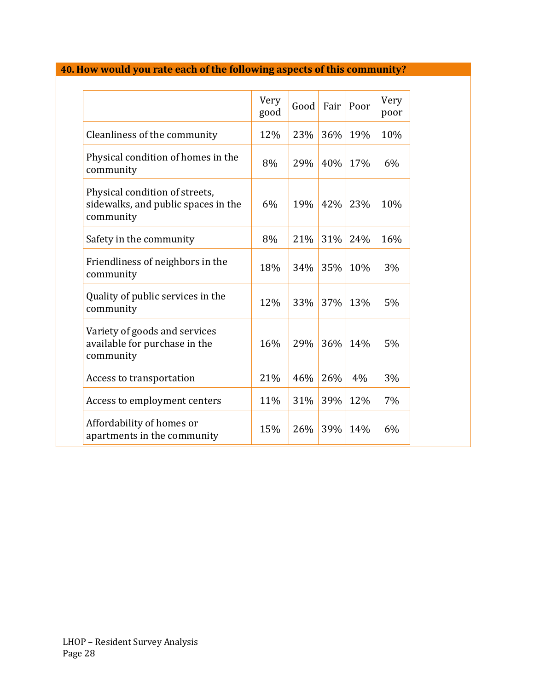# **40. How would you rate each of the following aspects of this community?**

|                                                                                    | Very<br>good | Good | Fair | Poor | Very<br>poor |
|------------------------------------------------------------------------------------|--------------|------|------|------|--------------|
| Cleanliness of the community                                                       | 12%          | 23%  | 36%  | 19%  | 10%          |
| Physical condition of homes in the<br>community                                    | 8%           | 29%  | 40%  | 17%  | 6%           |
| Physical condition of streets,<br>sidewalks, and public spaces in the<br>community | 6%           | 19%  | 42%  | 23%  | 10%          |
| Safety in the community                                                            | 8%           | 21%  | 31%  | 24%  | 16%          |
| Friendliness of neighbors in the<br>community                                      | 18%          | 34%  | 35%  | 10%  | 3%           |
| Quality of public services in the<br>community                                     | 12%          | 33%  | 37%  | 13%  | 5%           |
| Variety of goods and services<br>available for purchase in the<br>community        | 16%          | 29%  | 36%  | 14%  | 5%           |
| Access to transportation                                                           | 21%          | 46%  | 26%  | 4%   | 3%           |
| Access to employment centers                                                       | 11%          | 31%  | 39%  | 12%  | 7%           |
| Affordability of homes or<br>apartments in the community                           | 15%          | 26%  | 39%  | 14%  | 6%           |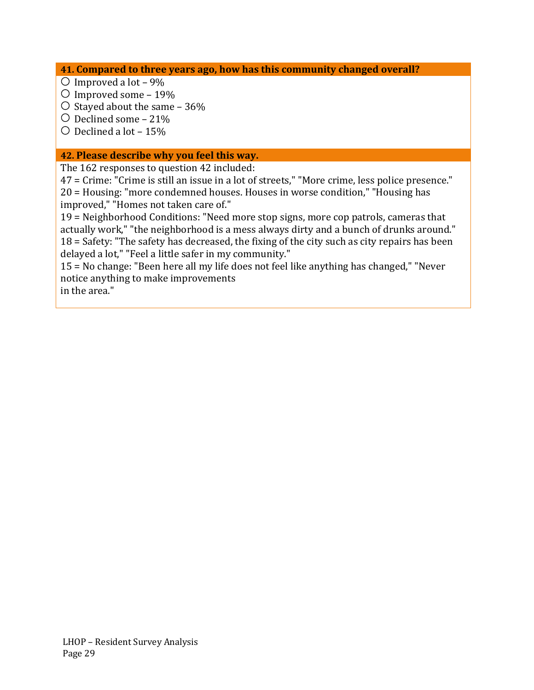**41. Compared to three years ago, how has this community changed overall?**

- $\circ$  Improved a lot 9%
- $\circ$  Improved some 19%
- $\circ$  Stayed about the same 36%
- $\circ$  Declined some 21%
- $\circ$  Declined a lot 15%

#### **42. Please describe why you feel this way.**

The 162 responses to question 42 included:

47 = Crime: "Crime is still an issue in a lot of streets," "More crime, less police presence." 20 = Housing: "more condemned houses. Houses in worse condition," "Housing has improved," "Homes not taken care of."

19 = Neighborhood Conditions: "Need more stop signs, more cop patrols, cameras that actually work," "the neighborhood is a mess always dirty and a bunch of drunks around." 18 = Safety: "The safety has decreased, the fixing of the city such as city repairs has been delayed a lot," "Feel a little safer in my community."

15 = No change: "Been here all my life does not feel like anything has changed," "Never notice anything to make improvements

in the area."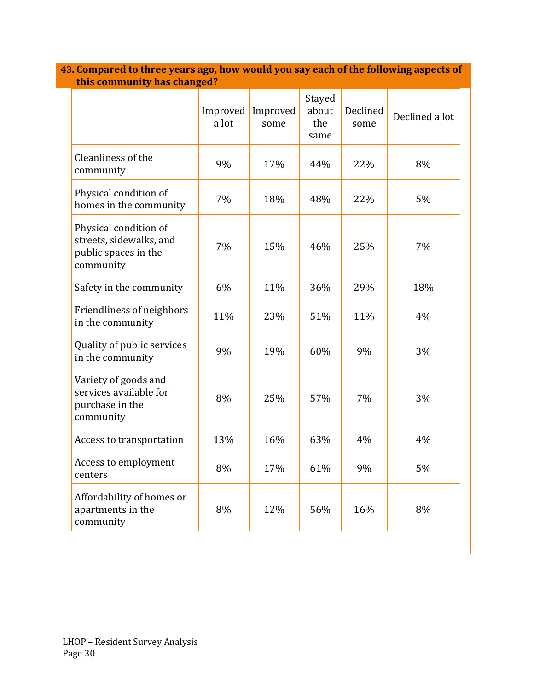|                                                                                       | Improved<br>a lot | Improved<br>some | Stayed<br>about<br>the<br>same | Declined<br>some | Declined a lot |
|---------------------------------------------------------------------------------------|-------------------|------------------|--------------------------------|------------------|----------------|
| Cleanliness of the<br>community                                                       | 9%                | 17%              | 44%                            | 22%              | 8%             |
| Physical condition of<br>homes in the community                                       | 7%                | 18%              | 48%                            | 22%              | 5%             |
| Physical condition of<br>streets, sidewalks, and<br>public spaces in the<br>community | 7%                | 15%              | 46%                            | 25%              | 7%             |
| Safety in the community                                                               | 6%                | 11%              | 36%                            | 29%              | 18%            |
| Friendliness of neighbors<br>in the community                                         | 11%               | 23%              | 51%                            | 11%              | 4%             |
| Quality of public services<br>in the community                                        | 9%                | 19%              | 60%                            | 9%               | 3%             |
| Variety of goods and<br>services available for<br>purchase in the<br>community        | 8%                | 25%              | 57%                            | 7%               | 3%             |
| Access to transportation                                                              | 13%               | 16%              | 63%                            | 4%               | 4%             |
| Access to employment<br>centers                                                       | 8%                | 17%              | 61%                            | 9%               | 5%             |
| Affordability of homes or<br>apartments in the<br>community                           | 8%                | 12%              | 56%                            | 16%              | 8%             |

**43. Compared to three years ago, how would you say each of the following aspects of this community has changed?**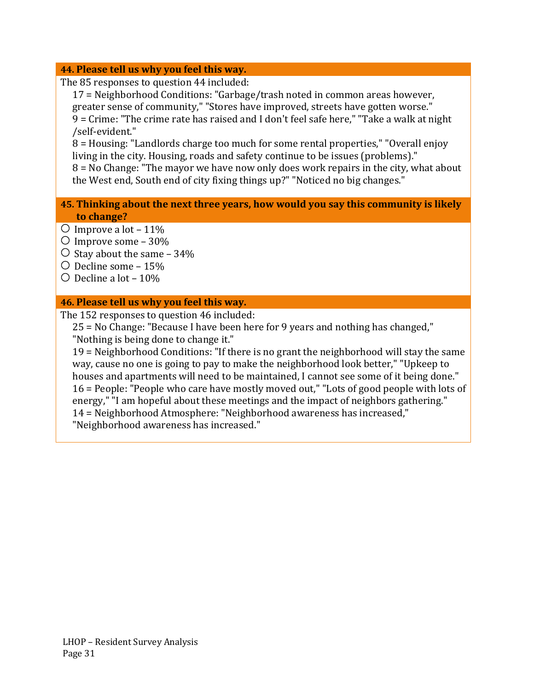#### **44. Please tell us why you feel this way.**

The 85 responses to question 44 included:

17 = Neighborhood Conditions: "Garbage/trash noted in common areas however, greater sense of community," "Stores have improved, streets have gotten worse." 9 = Crime: "The crime rate has raised and I don't feel safe here," "Take a walk at night /self-evident."

8 = Housing: "Landlords charge too much for some rental properties," "Overall enjoy living in the city. Housing, roads and safety continue to be issues (problems)."

8 = No Change: "The mayor we have now only does work repairs in the city, what about the West end, South end of city fixing things up?" "Noticed no big changes."

#### **45. Thinking about the next three years, how would you say this community is likely to change?**

- $\circ$  Improve a lot 11%
- $\circ$  Improve some 30%
- $\circ$  Stay about the same 34%
- $\circ$  Decline some 15%
- $\circ$  Decline a lot 10%

#### **46. Please tell us why you feel this way.**

The 152 responses to question 46 included:

25 = No Change: "Because I have been here for 9 years and nothing has changed," "Nothing is being done to change it."

19 = Neighborhood Conditions: "If there is no grant the neighborhood will stay the same way, cause no one is going to pay to make the neighborhood look better," "Upkeep to houses and apartments will need to be maintained, I cannot see some of it being done." 16 = People: "People who care have mostly moved out," "Lots of good people with lots of energy," "I am hopeful about these meetings and the impact of neighbors gathering." 14 = Neighborhood Atmosphere: "Neighborhood awareness has increased," "Neighborhood awareness has increased."